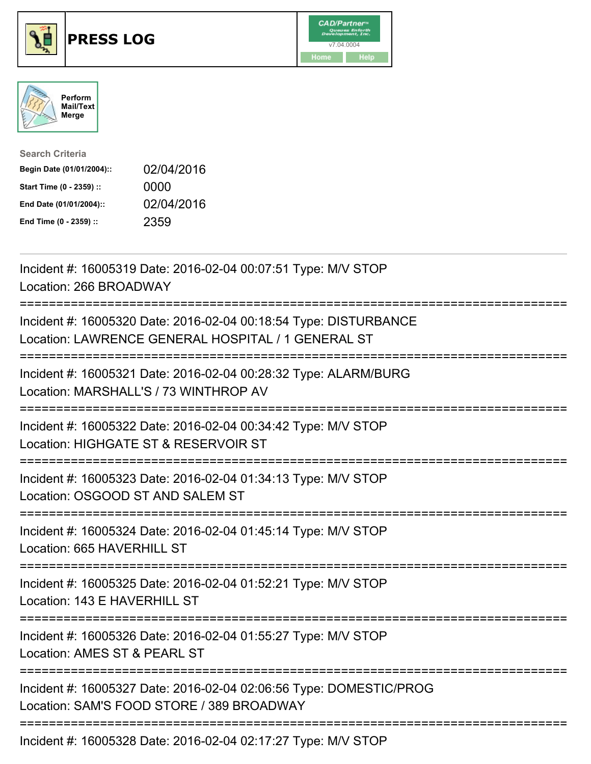





| <b>Search Criteria</b>    |            |
|---------------------------|------------|
| Begin Date (01/01/2004):: | 02/04/2016 |
| Start Time (0 - 2359) ::  | 0000       |
| End Date (01/01/2004)::   | 02/04/2016 |
| End Time (0 - 2359) ::    | 2359       |

| Incident #: 16005319 Date: 2016-02-04 00:07:51 Type: M/V STOP<br>Location: 266 BROADWAY                                            |
|------------------------------------------------------------------------------------------------------------------------------------|
| Incident #: 16005320 Date: 2016-02-04 00:18:54 Type: DISTURBANCE<br>Location: LAWRENCE GENERAL HOSPITAL / 1 GENERAL ST             |
| Incident #: 16005321 Date: 2016-02-04 00:28:32 Type: ALARM/BURG<br>Location: MARSHALL'S / 73 WINTHROP AV                           |
| Incident #: 16005322 Date: 2016-02-04 00:34:42 Type: M/V STOP<br>Location: HIGHGATE ST & RESERVOIR ST                              |
| Incident #: 16005323 Date: 2016-02-04 01:34:13 Type: M/V STOP<br>Location: OSGOOD ST AND SALEM ST                                  |
| Incident #: 16005324 Date: 2016-02-04 01:45:14 Type: M/V STOP<br>Location: 665 HAVERHILL ST<br>=================================== |
| Incident #: 16005325 Date: 2016-02-04 01:52:21 Type: M/V STOP<br>Location: 143 E HAVERHILL ST                                      |
| Incident #: 16005326 Date: 2016-02-04 01:55:27 Type: M/V STOP<br>Location: AMES ST & PEARL ST                                      |
| Incident #: 16005327 Date: 2016-02-04 02:06:56 Type: DOMESTIC/PROG<br>Location: SAM'S FOOD STORE / 389 BROADWAY                    |
| Incident #: 16005328 Date: 2016-02-04 02:17:27 Type: M/V STOP                                                                      |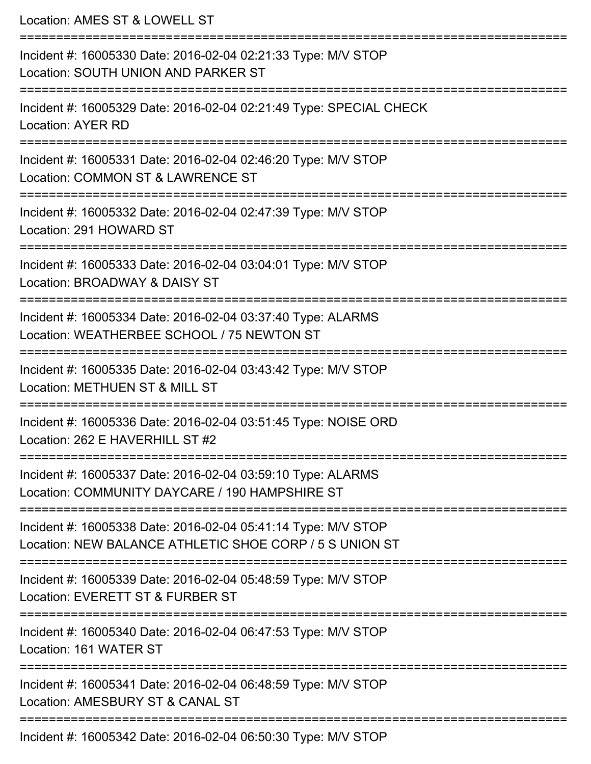Location: AMES ST & LOWELL ST =========================================================================== Incident #: 16005330 Date: 2016-02-04 02:21:33 Type: M/V STOP Location: SOUTH UNION AND PARKER ST =========================================================================== Incident #: 16005329 Date: 2016-02-04 02:21:49 Type: SPECIAL CHECK Location: AYER RD =========================================================================== Incident #: 16005331 Date: 2016-02-04 02:46:20 Type: M/V STOP Location: COMMON ST & LAWRENCE ST =========================================================================== Incident #: 16005332 Date: 2016-02-04 02:47:39 Type: M/V STOP Location: 291 HOWARD ST =========================================================================== Incident #: 16005333 Date: 2016-02-04 03:04:01 Type: M/V STOP Location: BROADWAY & DAISY ST =========================================================================== Incident #: 16005334 Date: 2016-02-04 03:37:40 Type: ALARMS Location: WEATHERBEE SCHOOL / 75 NEWTON ST =========================================================================== Incident #: 16005335 Date: 2016-02-04 03:43:42 Type: M/V STOP Location: METHUEN ST & MILL ST =========================================================================== Incident #: 16005336 Date: 2016-02-04 03:51:45 Type: NOISE ORD Location: 262 E HAVERHILL ST #2 =========================================================================== Incident #: 16005337 Date: 2016-02-04 03:59:10 Type: ALARMS Location: COMMUNITY DAYCARE / 190 HAMPSHIRE ST =========================================================================== Incident #: 16005338 Date: 2016-02-04 05:41:14 Type: M/V STOP Location: NEW BALANCE ATHLETIC SHOE CORP / 5 S UNION ST =========================================================================== Incident #: 16005339 Date: 2016-02-04 05:48:59 Type: M/V STOP Location: EVERETT ST & FURBER ST =========================================================================== Incident #: 16005340 Date: 2016-02-04 06:47:53 Type: M/V STOP Location: 161 WATER ST =========================================================================== Incident #: 16005341 Date: 2016-02-04 06:48:59 Type: M/V STOP Location: AMESBURY ST & CANAL ST =========================================================================== Incident #: 16005342 Date: 2016-02-04 06:50:30 Type: M/V STOP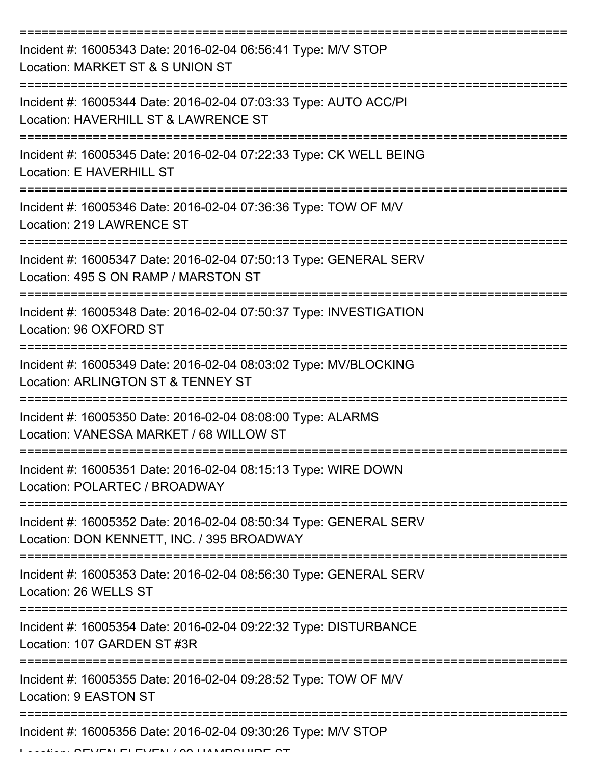| Incident #: 16005343 Date: 2016-02-04 06:56:41 Type: M/V STOP<br>Location: MARKET ST & S UNION ST                             |
|-------------------------------------------------------------------------------------------------------------------------------|
| Incident #: 16005344 Date: 2016-02-04 07:03:33 Type: AUTO ACC/PI<br>Location: HAVERHILL ST & LAWRENCE ST                      |
| Incident #: 16005345 Date: 2016-02-04 07:22:33 Type: CK WELL BEING<br>Location: E HAVERHILL ST                                |
| Incident #: 16005346 Date: 2016-02-04 07:36:36 Type: TOW OF M/V<br>Location: 219 LAWRENCE ST                                  |
| Incident #: 16005347 Date: 2016-02-04 07:50:13 Type: GENERAL SERV<br>Location: 495 S ON RAMP / MARSTON ST<br>================ |
| Incident #: 16005348 Date: 2016-02-04 07:50:37 Type: INVESTIGATION<br>Location: 96 OXFORD ST                                  |
| Incident #: 16005349 Date: 2016-02-04 08:03:02 Type: MV/BLOCKING<br>Location: ARLINGTON ST & TENNEY ST                        |
| Incident #: 16005350 Date: 2016-02-04 08:08:00 Type: ALARMS<br>Location: VANESSA MARKET / 68 WILLOW ST                        |
| Incident #: 16005351 Date: 2016-02-04 08:15:13 Type: WIRE DOWN<br>Location: POLARTEC / BROADWAY                               |
| Incident #: 16005352 Date: 2016-02-04 08:50:34 Type: GENERAL SERV<br>Location: DON KENNETT, INC. / 395 BROADWAY               |
| Incident #: 16005353 Date: 2016-02-04 08:56:30 Type: GENERAL SERV<br>Location: 26 WELLS ST                                    |
| Incident #: 16005354 Date: 2016-02-04 09:22:32 Type: DISTURBANCE<br>Location: 107 GARDEN ST #3R                               |
| Incident #: 16005355 Date: 2016-02-04 09:28:52 Type: TOW OF M/V<br>Location: 9 EASTON ST                                      |
| Incident #: 16005356 Date: 2016-02-04 09:30:26 Type: M/V STOP<br>FI FUTH LOO HAMDOURE                                         |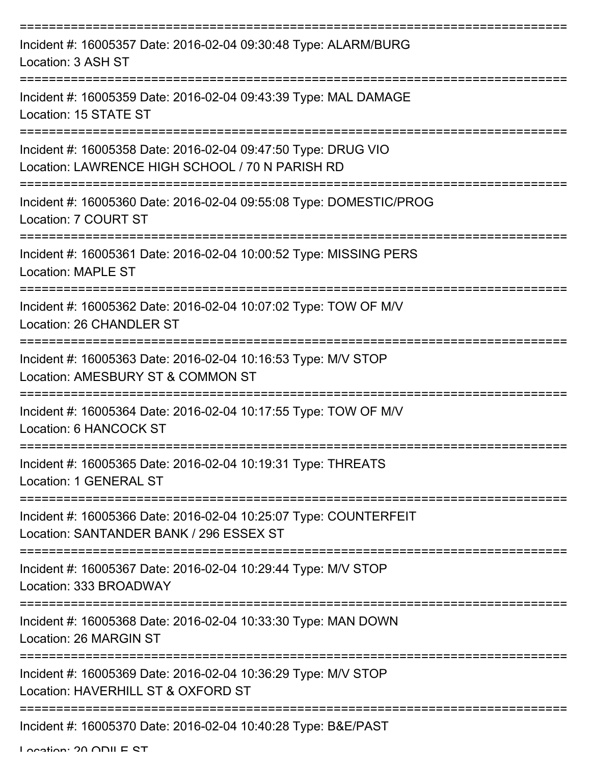| Incident #: 16005357 Date: 2016-02-04 09:30:48 Type: ALARM/BURG<br>Location: 3 ASH ST                                          |
|--------------------------------------------------------------------------------------------------------------------------------|
| Incident #: 16005359 Date: 2016-02-04 09:43:39 Type: MAL DAMAGE<br>Location: 15 STATE ST                                       |
| Incident #: 16005358 Date: 2016-02-04 09:47:50 Type: DRUG VIO<br>Location: LAWRENCE HIGH SCHOOL / 70 N PARISH RD               |
| Incident #: 16005360 Date: 2016-02-04 09:55:08 Type: DOMESTIC/PROG<br>Location: 7 COURT ST                                     |
| Incident #: 16005361 Date: 2016-02-04 10:00:52 Type: MISSING PERS<br><b>Location: MAPLE ST</b>                                 |
| Incident #: 16005362 Date: 2016-02-04 10:07:02 Type: TOW OF M/V<br>Location: 26 CHANDLER ST                                    |
| Incident #: 16005363 Date: 2016-02-04 10:16:53 Type: M/V STOP<br>Location: AMESBURY ST & COMMON ST                             |
| Incident #: 16005364 Date: 2016-02-04 10:17:55 Type: TOW OF M/V<br>Location: 6 HANCOCK ST                                      |
| Incident #: 16005365 Date: 2016-02-04 10:19:31 Type: THREATS<br>Location: 1 GENERAL ST<br>---------------                      |
| Incident #: 16005366 Date: 2016-02-04 10:25:07 Type: COUNTERFEIT<br>Location: SANTANDER BANK / 296 ESSEX ST                    |
| Incident #: 16005367 Date: 2016-02-04 10:29:44 Type: M/V STOP<br>Location: 333 BROADWAY<br>:================================== |
| Incident #: 16005368 Date: 2016-02-04 10:33:30 Type: MAN DOWN<br>Location: 26 MARGIN ST                                        |
| Incident #: 16005369 Date: 2016-02-04 10:36:29 Type: M/V STOP<br>Location: HAVERHILL ST & OXFORD ST                            |
| Incident #: 16005370 Date: 2016-02-04 10:40:28 Type: B&E/PAST                                                                  |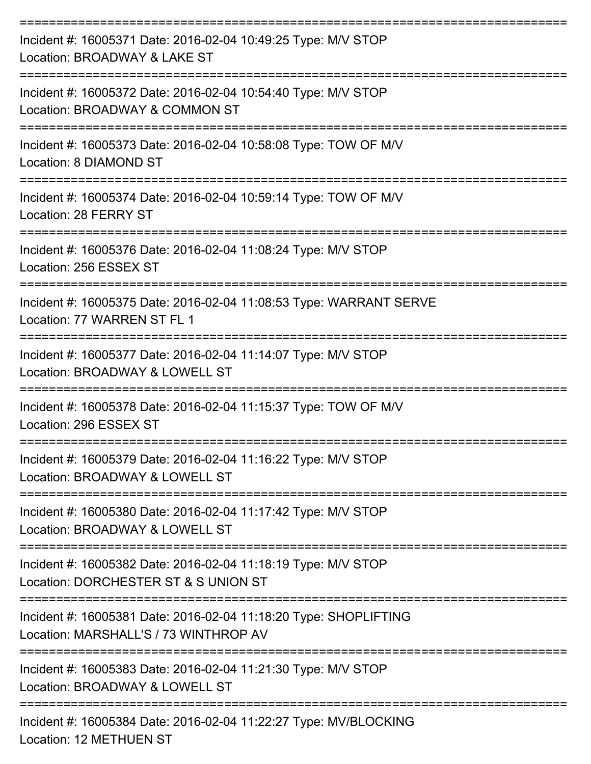| Incident #: 16005371 Date: 2016-02-04 10:49:25 Type: M/V STOP<br>Location: BROADWAY & LAKE ST                                   |
|---------------------------------------------------------------------------------------------------------------------------------|
| Incident #: 16005372 Date: 2016-02-04 10:54:40 Type: M/V STOP<br>Location: BROADWAY & COMMON ST                                 |
| Incident #: 16005373 Date: 2016-02-04 10:58:08 Type: TOW OF M/V<br>Location: 8 DIAMOND ST                                       |
| Incident #: 16005374 Date: 2016-02-04 10:59:14 Type: TOW OF M/V<br>Location: 28 FERRY ST                                        |
| --------------------<br>Incident #: 16005376 Date: 2016-02-04 11:08:24 Type: M/V STOP<br>Location: 256 ESSEX ST<br>------------ |
| Incident #: 16005375 Date: 2016-02-04 11:08:53 Type: WARRANT SERVE<br>Location: 77 WARREN ST FL 1                               |
| Incident #: 16005377 Date: 2016-02-04 11:14:07 Type: M/V STOP<br>Location: BROADWAY & LOWELL ST                                 |
| Incident #: 16005378 Date: 2016-02-04 11:15:37 Type: TOW OF M/V<br>Location: 296 ESSEX ST                                       |
| Incident #: 16005379 Date: 2016-02-04 11:16:22 Type: M/V STOP<br>Location: BROADWAY & LOWELL ST                                 |
| Incident #: 16005380 Date: 2016-02-04 11:17:42 Type: M/V STOP<br>Location: BROADWAY & LOWELL ST                                 |
| Incident #: 16005382 Date: 2016-02-04 11:18:19 Type: M/V STOP<br>Location: DORCHESTER ST & S UNION ST                           |
| Incident #: 16005381 Date: 2016-02-04 11:18:20 Type: SHOPLIFTING<br>Location: MARSHALL'S / 73 WINTHROP AV                       |
| Incident #: 16005383 Date: 2016-02-04 11:21:30 Type: M/V STOP<br>Location: BROADWAY & LOWELL ST                                 |
| Incident #: 16005384 Date: 2016-02-04 11:22:27 Type: MV/BLOCKING                                                                |

Location: 12 METHUEN ST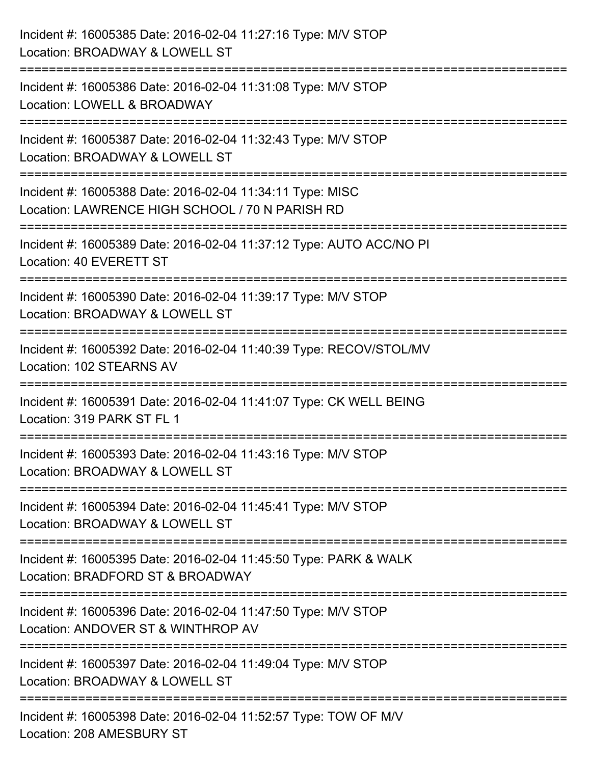| Incident #: 16005385 Date: 2016-02-04 11:27:16 Type: M/V STOP<br>Location: BROADWAY & LOWELL ST                                                      |
|------------------------------------------------------------------------------------------------------------------------------------------------------|
| :==========================<br>Incident #: 16005386 Date: 2016-02-04 11:31:08 Type: M/V STOP<br>Location: LOWELL & BROADWAY                          |
| Incident #: 16005387 Date: 2016-02-04 11:32:43 Type: M/V STOP<br>Location: BROADWAY & LOWELL ST<br>=================================                 |
| Incident #: 16005388 Date: 2016-02-04 11:34:11 Type: MISC<br>Location: LAWRENCE HIGH SCHOOL / 70 N PARISH RD<br>==================================== |
| Incident #: 16005389 Date: 2016-02-04 11:37:12 Type: AUTO ACC/NO PI<br>Location: 40 EVERETT ST                                                       |
| Incident #: 16005390 Date: 2016-02-04 11:39:17 Type: M/V STOP<br>Location: BROADWAY & LOWELL ST                                                      |
| Incident #: 16005392 Date: 2016-02-04 11:40:39 Type: RECOV/STOL/MV<br>Location: 102 STEARNS AV                                                       |
| Incident #: 16005391 Date: 2016-02-04 11:41:07 Type: CK WELL BEING<br>Location: 319 PARK ST FL 1                                                     |
| Incident #: 16005393 Date: 2016-02-04 11:43:16 Type: M/V STOP<br>Location: BROADWAY & LOWELL ST                                                      |
| Incident #: 16005394 Date: 2016-02-04 11:45:41 Type: M/V STOP<br>Location: BROADWAY & LOWELL ST                                                      |
| Incident #: 16005395 Date: 2016-02-04 11:45:50 Type: PARK & WALK<br>Location: BRADFORD ST & BROADWAY                                                 |
| Incident #: 16005396 Date: 2016-02-04 11:47:50 Type: M/V STOP<br>Location: ANDOVER ST & WINTHROP AV                                                  |
| Incident #: 16005397 Date: 2016-02-04 11:49:04 Type: M/V STOP<br>Location: BROADWAY & LOWELL ST                                                      |
| ---------------------<br>Incident #: 16005398 Date: 2016-02-04 11:52:57 Type: TOW OF M/V<br>Location: 208 AMESBURY ST                                |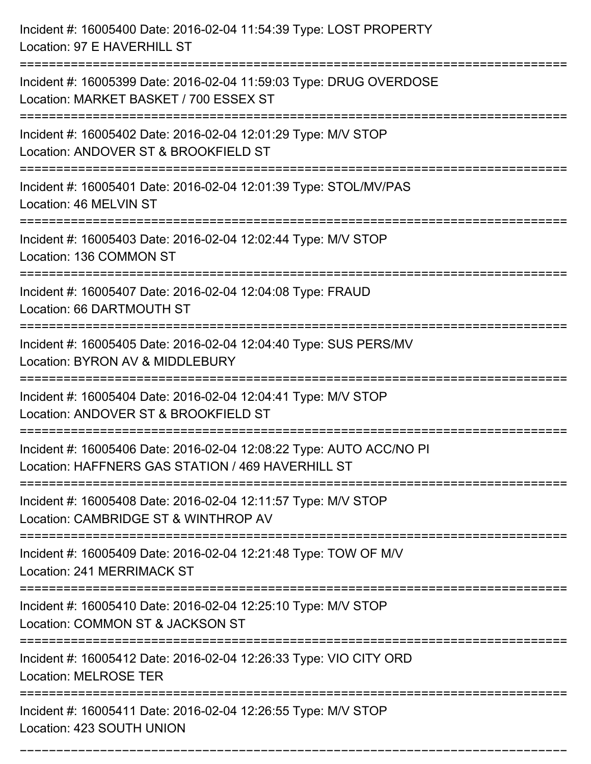| Incident #: 16005400 Date: 2016-02-04 11:54:39 Type: LOST PROPERTY<br>Location: 97 E HAVERHILL ST                         |
|---------------------------------------------------------------------------------------------------------------------------|
| Incident #: 16005399 Date: 2016-02-04 11:59:03 Type: DRUG OVERDOSE<br>Location: MARKET BASKET / 700 ESSEX ST              |
| Incident #: 16005402 Date: 2016-02-04 12:01:29 Type: M/V STOP<br>Location: ANDOVER ST & BROOKFIELD ST<br>================ |
| Incident #: 16005401 Date: 2016-02-04 12:01:39 Type: STOL/MV/PAS<br>Location: 46 MELVIN ST                                |
| Incident #: 16005403 Date: 2016-02-04 12:02:44 Type: M/V STOP<br>Location: 136 COMMON ST<br>============================= |
| Incident #: 16005407 Date: 2016-02-04 12:04:08 Type: FRAUD<br>Location: 66 DARTMOUTH ST                                   |
| Incident #: 16005405 Date: 2016-02-04 12:04:40 Type: SUS PERS/MV<br>Location: BYRON AV & MIDDLEBURY                       |
| Incident #: 16005404 Date: 2016-02-04 12:04:41 Type: M/V STOP<br>Location: ANDOVER ST & BROOKFIELD ST                     |
| Incident #: 16005406 Date: 2016-02-04 12:08:22 Type: AUTO ACC/NO PI<br>Location: HAFFNERS GAS STATION / 469 HAVERHILL ST  |
| Incident #: 16005408 Date: 2016-02-04 12:11:57 Type: M/V STOP<br>Location: CAMBRIDGE ST & WINTHROP AV                     |
| Incident #: 16005409 Date: 2016-02-04 12:21:48 Type: TOW OF M/V<br>Location: 241 MERRIMACK ST                             |
| Incident #: 16005410 Date: 2016-02-04 12:25:10 Type: M/V STOP<br>Location: COMMON ST & JACKSON ST                         |
| Incident #: 16005412 Date: 2016-02-04 12:26:33 Type: VIO CITY ORD<br><b>Location: MELROSE TER</b>                         |
| Incident #: 16005411 Date: 2016-02-04 12:26:55 Type: M/V STOP<br>Location: 423 SOUTH UNION                                |

===========================================================================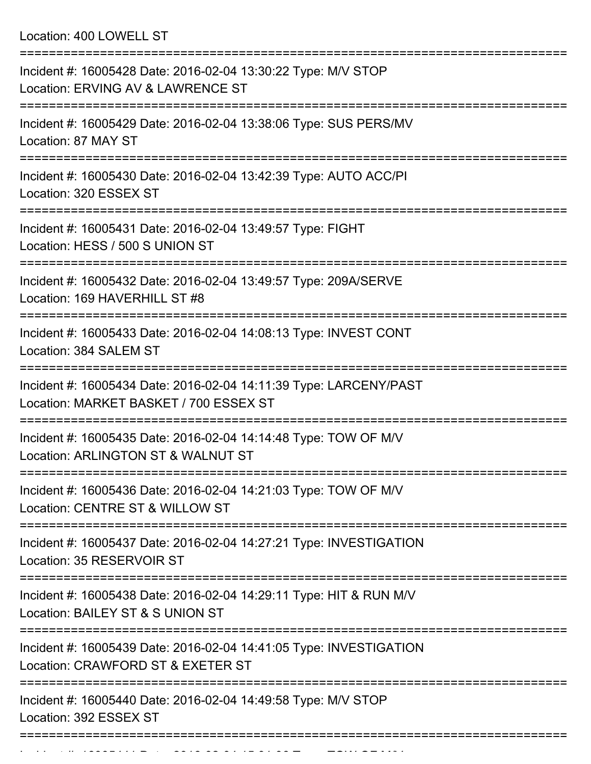Location: 400 LOWELL ST

| Incident #: 16005428 Date: 2016-02-04 13:30:22 Type: M/V STOP<br>Location: ERVING AV & LAWRENCE ST                           |
|------------------------------------------------------------------------------------------------------------------------------|
| Incident #: 16005429 Date: 2016-02-04 13:38:06 Type: SUS PERS/MV<br>Location: 87 MAY ST                                      |
| Incident #: 16005430 Date: 2016-02-04 13:42:39 Type: AUTO ACC/PI<br>Location: 320 ESSEX ST                                   |
| Incident #: 16005431 Date: 2016-02-04 13:49:57 Type: FIGHT<br>Location: HESS / 500 S UNION ST                                |
| Incident #: 16005432 Date: 2016-02-04 13:49:57 Type: 209A/SERVE<br>Location: 169 HAVERHILL ST #8                             |
| Incident #: 16005433 Date: 2016-02-04 14:08:13 Type: INVEST CONT<br>Location: 384 SALEM ST                                   |
| Incident #: 16005434 Date: 2016-02-04 14:11:39 Type: LARCENY/PAST<br>Location: MARKET BASKET / 700 ESSEX ST                  |
| Incident #: 16005435 Date: 2016-02-04 14:14:48 Type: TOW OF M/V<br>Location: ARLINGTON ST & WALNUT ST<br>------------------- |
| Incident #: 16005436 Date: 2016-02-04 14:21:03 Type: TOW OF M/V<br>Location: CENTRE ST & WILLOW ST                           |
| Incident #: 16005437 Date: 2016-02-04 14:27:21 Type: INVESTIGATION<br>Location: 35 RESERVOIR ST                              |
| Incident #: 16005438 Date: 2016-02-04 14:29:11 Type: HIT & RUN M/V<br>Location: BAILEY ST & S UNION ST                       |
| Incident #: 16005439 Date: 2016-02-04 14:41:05 Type: INVESTIGATION<br>Location: CRAWFORD ST & EXETER ST                      |
| Incident #: 16005440 Date: 2016-02-04 14:49:58 Type: M/V STOP<br>Location: 392 ESSEX ST                                      |
|                                                                                                                              |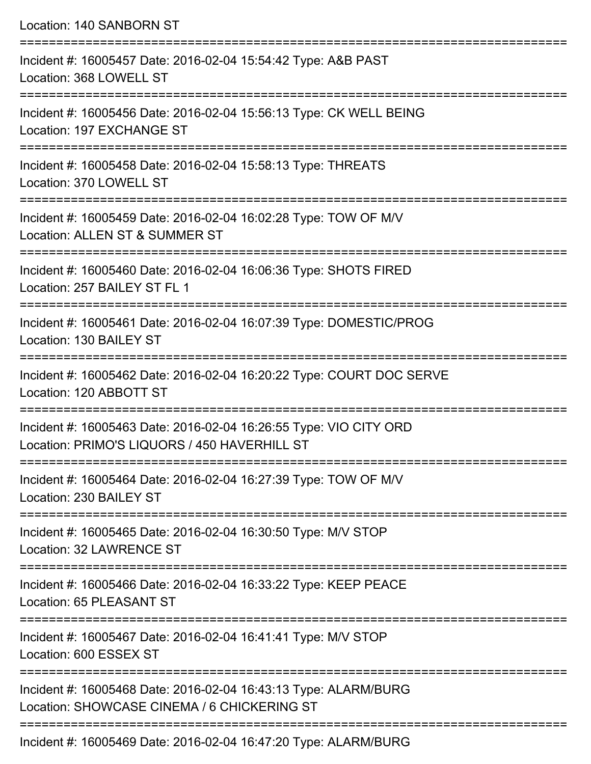| Location: 140 SANBORN ST                                                                                                                                              |
|-----------------------------------------------------------------------------------------------------------------------------------------------------------------------|
| Incident #: 16005457 Date: 2016-02-04 15:54:42 Type: A&B PAST<br>Location: 368 LOWELL ST<br>:==================================                                       |
| Incident #: 16005456 Date: 2016-02-04 15:56:13 Type: CK WELL BEING<br>Location: 197 EXCHANGE ST                                                                       |
| Incident #: 16005458 Date: 2016-02-04 15:58:13 Type: THREATS<br>Location: 370 LOWELL ST<br>====================================<br>================================== |
| Incident #: 16005459 Date: 2016-02-04 16:02:28 Type: TOW OF M/V<br>Location: ALLEN ST & SUMMER ST                                                                     |
| Incident #: 16005460 Date: 2016-02-04 16:06:36 Type: SHOTS FIRED<br>Location: 257 BAILEY ST FL 1                                                                      |
| Incident #: 16005461 Date: 2016-02-04 16:07:39 Type: DOMESTIC/PROG<br>Location: 130 BAILEY ST                                                                         |
| Incident #: 16005462 Date: 2016-02-04 16:20:22 Type: COURT DOC SERVE<br>Location: 120 ABBOTT ST                                                                       |
| Incident #: 16005463 Date: 2016-02-04 16:26:55 Type: VIO CITY ORD<br>Location: PRIMO'S LIQUORS / 450 HAVERHILL ST                                                     |
| Incident #: 16005464 Date: 2016-02-04 16:27:39 Type: TOW OF M/V<br>Location: 230 BAILEY ST                                                                            |
| Incident #: 16005465 Date: 2016-02-04 16:30:50 Type: M/V STOP<br>Location: 32 LAWRENCE ST                                                                             |
| Incident #: 16005466 Date: 2016-02-04 16:33:22 Type: KEEP PEACE<br>Location: 65 PLEASANT ST                                                                           |
| Incident #: 16005467 Date: 2016-02-04 16:41:41 Type: M/V STOP<br>Location: 600 ESSEX ST                                                                               |
| Incident #: 16005468 Date: 2016-02-04 16:43:13 Type: ALARM/BURG<br>Location: SHOWCASE CINEMA / 6 CHICKERING ST                                                        |
|                                                                                                                                                                       |

Incident #: 16005469 Date: 2016-02-04 16:47:20 Type: ALARM/BURG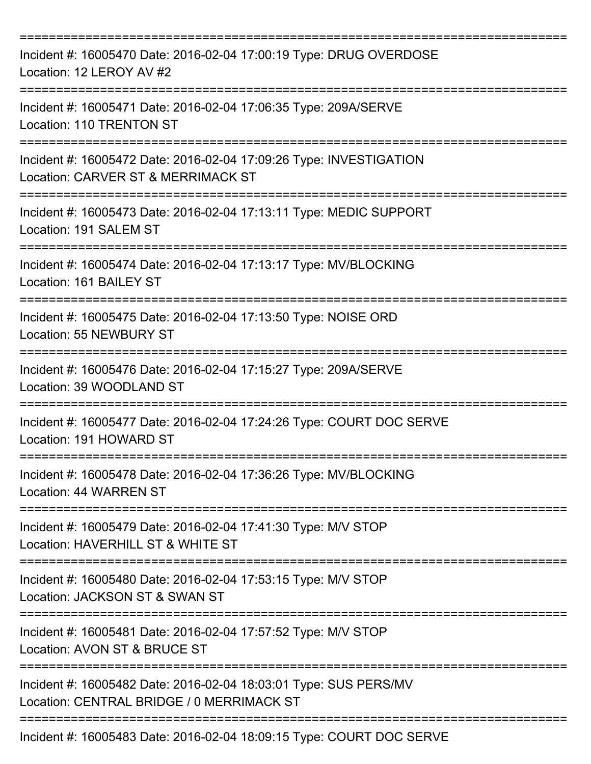| Incident #: 16005470 Date: 2016-02-04 17:00:19 Type: DRUG OVERDOSE<br>Location: 12 LEROY AV #2                                        |
|---------------------------------------------------------------------------------------------------------------------------------------|
| Incident #: 16005471 Date: 2016-02-04 17:06:35 Type: 209A/SERVE<br>Location: 110 TRENTON ST                                           |
| Incident #: 16005472 Date: 2016-02-04 17:09:26 Type: INVESTIGATION<br>Location: CARVER ST & MERRIMACK ST<br>========================= |
| Incident #: 16005473 Date: 2016-02-04 17:13:11 Type: MEDIC SUPPORT<br>Location: 191 SALEM ST                                          |
| Incident #: 16005474 Date: 2016-02-04 17:13:17 Type: MV/BLOCKING<br>Location: 161 BAILEY ST                                           |
| Incident #: 16005475 Date: 2016-02-04 17:13:50 Type: NOISE ORD<br>Location: 55 NEWBURY ST<br>========================                 |
| Incident #: 16005476 Date: 2016-02-04 17:15:27 Type: 209A/SERVE<br>Location: 39 WOODLAND ST                                           |
| Incident #: 16005477 Date: 2016-02-04 17:24:26 Type: COURT DOC SERVE<br>Location: 191 HOWARD ST                                       |
| Incident #: 16005478 Date: 2016-02-04 17:36:26 Type: MV/BLOCKING<br>Location: 44 WARREN ST                                            |
| Incident #: 16005479 Date: 2016-02-04 17:41:30 Type: M/V STOP<br>Location: HAVERHILL ST & WHITE ST                                    |
| Incident #: 16005480 Date: 2016-02-04 17:53:15 Type: M/V STOP<br>Location: JACKSON ST & SWAN ST                                       |
| Incident #: 16005481 Date: 2016-02-04 17:57:52 Type: M/V STOP<br>Location: AVON ST & BRUCE ST                                         |
| Incident #: 16005482 Date: 2016-02-04 18:03:01 Type: SUS PERS/MV<br>Location: CENTRAL BRIDGE / 0 MERRIMACK ST                         |
| Incident #: 16005483 Date: 2016-02-04 18:09:15 Type: COURT DOC SERVE                                                                  |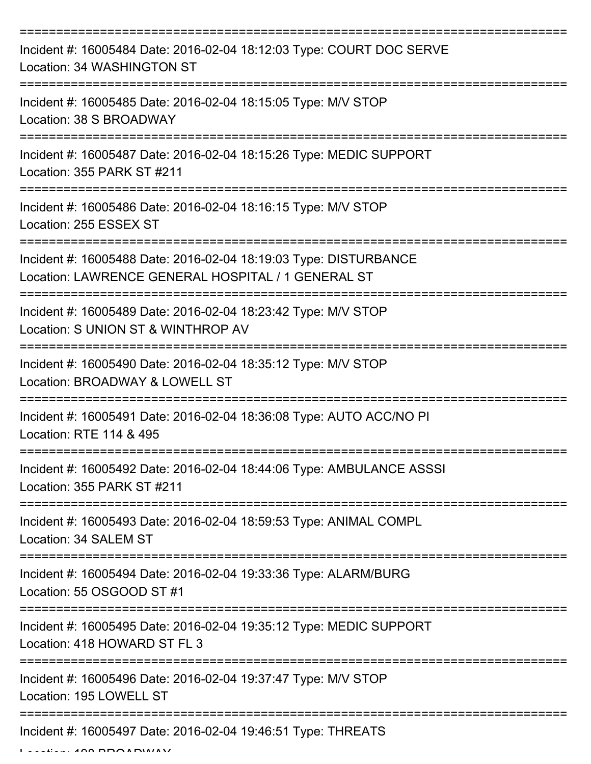| Incident #: 16005484 Date: 2016-02-04 18:12:03 Type: COURT DOC SERVE<br>Location: 34 WASHINGTON ST                     |
|------------------------------------------------------------------------------------------------------------------------|
| Incident #: 16005485 Date: 2016-02-04 18:15:05 Type: M/V STOP<br>Location: 38 S BROADWAY                               |
| Incident #: 16005487 Date: 2016-02-04 18:15:26 Type: MEDIC SUPPORT<br>Location: 355 PARK ST #211                       |
| Incident #: 16005486 Date: 2016-02-04 18:16:15 Type: M/V STOP<br>Location: 255 ESSEX ST                                |
| Incident #: 16005488 Date: 2016-02-04 18:19:03 Type: DISTURBANCE<br>Location: LAWRENCE GENERAL HOSPITAL / 1 GENERAL ST |
| Incident #: 16005489 Date: 2016-02-04 18:23:42 Type: M/V STOP<br>Location: S UNION ST & WINTHROP AV                    |
| Incident #: 16005490 Date: 2016-02-04 18:35:12 Type: M/V STOP<br>Location: BROADWAY & LOWELL ST                        |
| Incident #: 16005491 Date: 2016-02-04 18:36:08 Type: AUTO ACC/NO PI<br>Location: RTE 114 & 495                         |
| Incident #: 16005492 Date: 2016-02-04 18:44:06 Type: AMBULANCE ASSSI<br>Location: 355 PARK ST #211                     |
| Incident #: 16005493 Date: 2016-02-04 18:59:53 Type: ANIMAL COMPL<br>Location: 34 SALEM ST                             |
| Incident #: 16005494 Date: 2016-02-04 19:33:36 Type: ALARM/BURG<br>Location: 55 OSGOOD ST #1                           |
| Incident #: 16005495 Date: 2016-02-04 19:35:12 Type: MEDIC SUPPORT<br>Location: 418 HOWARD ST FL 3                     |
| Incident #: 16005496 Date: 2016-02-04 19:37:47 Type: M/V STOP<br>Location: 195 LOWELL ST                               |
| Incident #: 16005497 Date: 2016-02-04 19:46:51 Type: THREATS                                                           |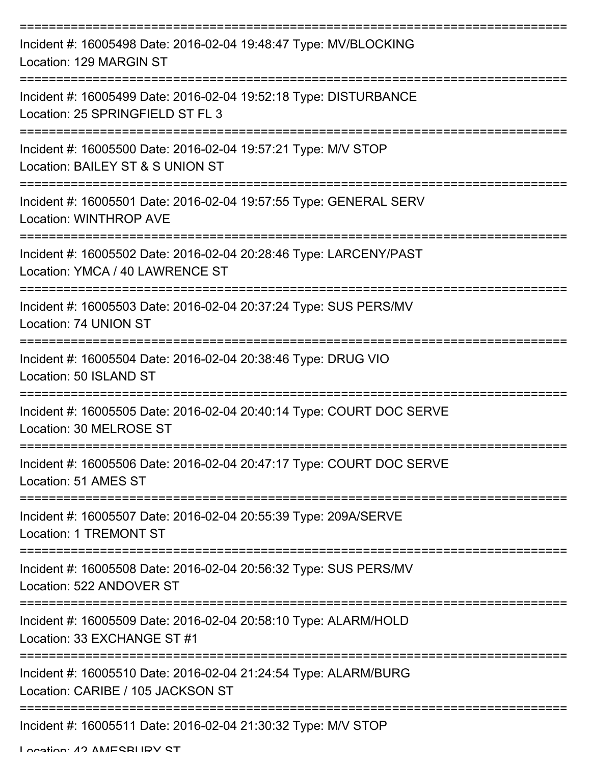| Incident #: 16005498 Date: 2016-02-04 19:48:47 Type: MV/BLOCKING<br>Location: 129 MARGIN ST                                |
|----------------------------------------------------------------------------------------------------------------------------|
| Incident #: 16005499 Date: 2016-02-04 19:52:18 Type: DISTURBANCE<br>Location: 25 SPRINGFIELD ST FL 3                       |
| Incident #: 16005500 Date: 2016-02-04 19:57:21 Type: M/V STOP<br>Location: BAILEY ST & S UNION ST                          |
| Incident #: 16005501 Date: 2016-02-04 19:57:55 Type: GENERAL SERV<br><b>Location: WINTHROP AVE</b>                         |
| ==================<br>Incident #: 16005502 Date: 2016-02-04 20:28:46 Type: LARCENY/PAST<br>Location: YMCA / 40 LAWRENCE ST |
| Incident #: 16005503 Date: 2016-02-04 20:37:24 Type: SUS PERS/MV<br>Location: 74 UNION ST                                  |
| Incident #: 16005504 Date: 2016-02-04 20:38:46 Type: DRUG VIO<br>Location: 50 ISLAND ST                                    |
| Incident #: 16005505 Date: 2016-02-04 20:40:14 Type: COURT DOC SERVE<br>Location: 30 MELROSE ST                            |
| Incident #: 16005506 Date: 2016-02-04 20:47:17 Type: COURT DOC SERVE<br>Location: 51 AMES ST                               |
| Incident #: 16005507 Date: 2016-02-04 20:55:39 Type: 209A/SERVE<br><b>Location: 1 TREMONT ST</b>                           |
| Incident #: 16005508 Date: 2016-02-04 20:56:32 Type: SUS PERS/MV<br>Location: 522 ANDOVER ST                               |
| Incident #: 16005509 Date: 2016-02-04 20:58:10 Type: ALARM/HOLD<br>Location: 33 EXCHANGE ST #1                             |
| Incident #: 16005510 Date: 2016-02-04 21:24:54 Type: ALARM/BURG<br>Location: CARIBE / 105 JACKSON ST                       |
| Incident #: 16005511 Date: 2016-02-04 21:30:32 Type: M/V STOP                                                              |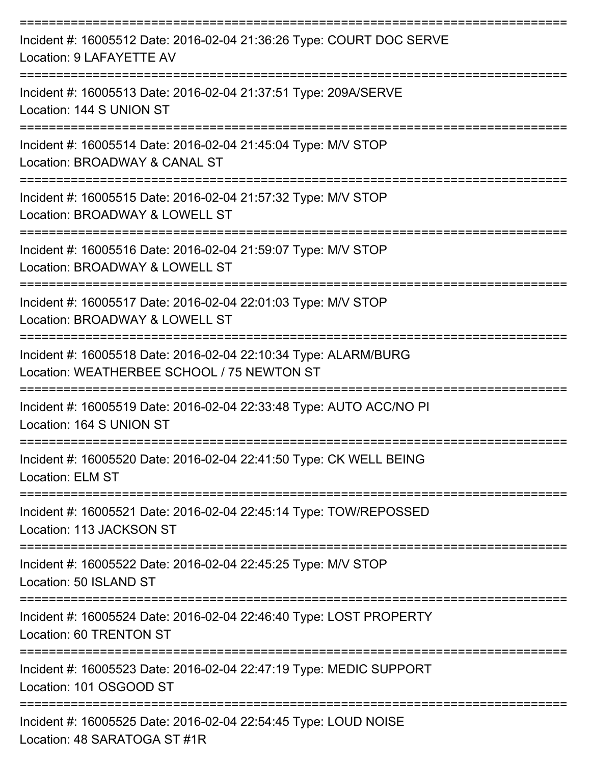| Incident #: 16005512 Date: 2016-02-04 21:36:26 Type: COURT DOC SERVE<br>Location: 9 LAFAYETTE AV                                       |
|----------------------------------------------------------------------------------------------------------------------------------------|
| Incident #: 16005513 Date: 2016-02-04 21:37:51 Type: 209A/SERVE<br>Location: 144 S UNION ST                                            |
| Incident #: 16005514 Date: 2016-02-04 21:45:04 Type: M/V STOP<br>Location: BROADWAY & CANAL ST                                         |
| Incident #: 16005515 Date: 2016-02-04 21:57:32 Type: M/V STOP<br>Location: BROADWAY & LOWELL ST                                        |
| Incident #: 16005516 Date: 2016-02-04 21:59:07 Type: M/V STOP<br>Location: BROADWAY & LOWELL ST                                        |
| Incident #: 16005517 Date: 2016-02-04 22:01:03 Type: M/V STOP<br>Location: BROADWAY & LOWELL ST                                        |
| Incident #: 16005518 Date: 2016-02-04 22:10:34 Type: ALARM/BURG<br>Location: WEATHERBEE SCHOOL / 75 NEWTON ST                          |
| Incident #: 16005519 Date: 2016-02-04 22:33:48 Type: AUTO ACC/NO PI<br>Location: 164 S UNION ST                                        |
| Incident #: 16005520 Date: 2016-02-04 22:41:50 Type: CK WELL BEING<br>Location: ELM ST                                                 |
| ===================<br>Incident #: 16005521 Date: 2016-02-04 22:45:14 Type: TOW/REPOSSED<br>Location: 113 JACKSON ST                   |
| Incident #: 16005522 Date: 2016-02-04 22:45:25 Type: M/V STOP<br>Location: 50 ISLAND ST                                                |
| :====================================<br>Incident #: 16005524 Date: 2016-02-04 22:46:40 Type: LOST PROPERTY<br>Location: 60 TRENTON ST |
| Incident #: 16005523 Date: 2016-02-04 22:47:19 Type: MEDIC SUPPORT<br>Location: 101 OSGOOD ST                                          |
| Incident #: 16005525 Date: 2016-02-04 22:54:45 Type: LOUD NOISE<br>Location: 48 SARATOGA ST #1R                                        |